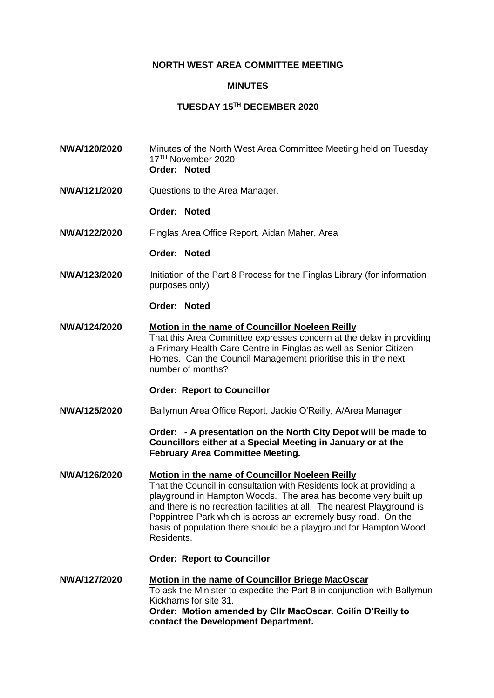# **NORTH WEST AREA COMMITTEE MEETING**

### **MINUTES**

# **TUESDAY 15TH DECEMBER 2020**

- **NWA/120/2020** Minutes of the North West Area Committee Meeting held on Tuesday 17TH November 2020 **Order: Noted**
- **NWA/121/2020** Questions to the Area Manager.

### **Order: Noted**

**NWA/122/2020** Finglas Area Office Report, Aidan Maher, Area

### **Order: Noted**

**NWA/123/2020** Initiation of the Part 8 Process for the Finglas Library (for information purposes only)

#### **Order: Noted**

**NWA/124/2020 Motion in the name of Councillor Noeleen Reilly** That this Area Committee expresses concern at the delay in providing a Primary Health Care Centre in Finglas as well as Senior Citizen Homes. Can the Council Management prioritise this in the next number of months?

### **Order: Report to Councillor**

**NWA/125/2020** Ballymun Area Office Report, Jackie O'Reilly, A/Area Manager

**Order: - A presentation on the North City Depot will be made to Councillors either at a Special Meeting in January or at the February Area Committee Meeting.**

## **NWA/126/2020 Motion in the name of Councillor Noeleen Reilly** That the Council in consultation with Residents look at providing a playground in Hampton Woods. The area has become very built up and there is no recreation facilities at all. The nearest Playground is Poppintree Park which is across an extremely busy road. On the basis of population there should be a playground for Hampton Wood Residents.

#### **Order: Report to Councillor**

**NWA/127/2020 Motion in the name of Councillor Briege MacOscar** To ask the Minister to expedite the Part 8 in conjunction with Ballymun Kickhams for site 31. **Order: Motion amended by Cllr MacOscar. Coilín O'Reilly to contact the Development Department.**